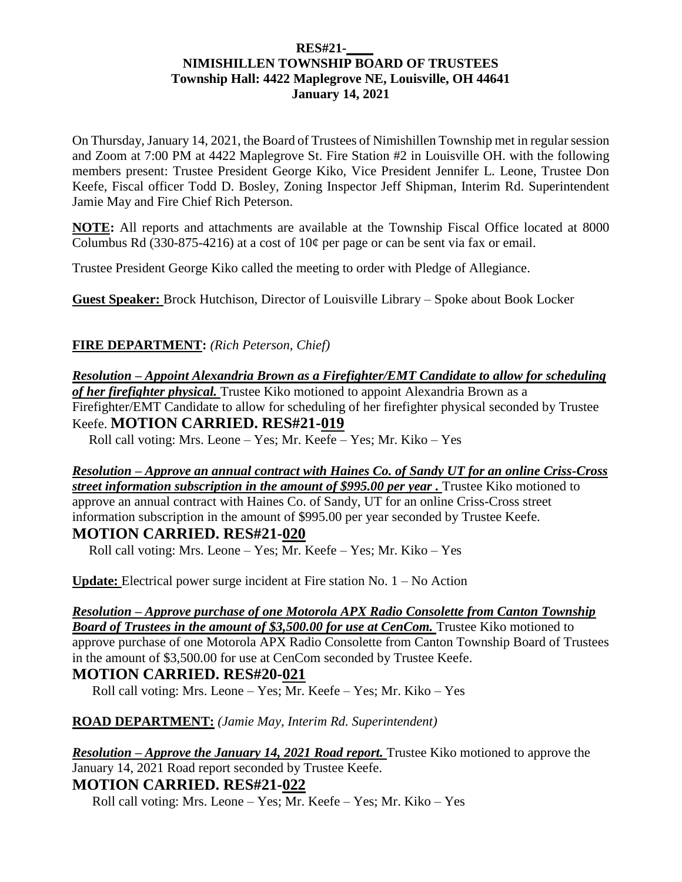#### **RES#21-\_\_\_\_ NIMISHILLEN TOWNSHIP BOARD OF TRUSTEES Township Hall: 4422 Maplegrove NE, Louisville, OH 44641 January 14, 2021**

On Thursday, January 14, 2021, the Board of Trustees of Nimishillen Township met in regular session and Zoom at 7:00 PM at 4422 Maplegrove St. Fire Station #2 in Louisville OH. with the following members present: Trustee President George Kiko, Vice President Jennifer L. Leone, Trustee Don Keefe, Fiscal officer Todd D. Bosley, Zoning Inspector Jeff Shipman, Interim Rd. Superintendent Jamie May and Fire Chief Rich Peterson.

**NOTE:** All reports and attachments are available at the Township Fiscal Office located at 8000 Columbus Rd (330-875-4216) at a cost of  $10¢$  per page or can be sent via fax or email.

Trustee President George Kiko called the meeting to order with Pledge of Allegiance.

**Guest Speaker:** Brock Hutchison, Director of Louisville Library – Spoke about Book Locker

## **FIRE DEPARTMENT:** *(Rich Peterson, Chief)*

*Resolution – Appoint Alexandria Brown as a Firefighter/EMT Candidate to allow for scheduling of her firefighter physical.* Trustee Kiko motioned to appoint Alexandria Brown as a Firefighter/EMT Candidate to allow for scheduling of her firefighter physical seconded by Trustee Keefe. **MOTION CARRIED. RES#21-019**

Roll call voting: Mrs. Leone – Yes; Mr. Keefe – Yes; Mr. Kiko – Yes

*Resolution – Approve an annual contract with Haines Co. of Sandy UT for an online Criss-Cross*  **street information subscription in the amount of \$995.00 per year**. Trustee Kiko motioned to approve an annual contract with Haines Co. of Sandy, UT for an online Criss-Cross street information subscription in the amount of \$995.00 per year seconded by Trustee Keefe. **MOTION CARRIED. RES#21-020**

Roll call voting: Mrs. Leone – Yes; Mr. Keefe – Yes; Mr. Kiko – Yes

**Update:** Electrical power surge incident at Fire station No. 1 – No Action

*Resolution – Approve purchase of one Motorola APX Radio Consolette from Canton Township*  **Board of Trustees in the amount of \$3,500.00 for use at CenCom.** Trustee Kiko motioned to approve purchase of one Motorola APX Radio Consolette from Canton Township Board of Trustees in the amount of \$3,500.00 for use at CenCom seconded by Trustee Keefe. **MOTION CARRIED. RES#20-021**

Roll call voting: Mrs. Leone – Yes; Mr. Keefe – Yes; Mr. Kiko – Yes

**ROAD DEPARTMENT:** *(Jamie May, Interim Rd. Superintendent)*

*Resolution – Approve the January 14, 2021 Road report.* Trustee Kiko motioned to approve the January 14, 2021 Road report seconded by Trustee Keefe. **MOTION CARRIED. RES#21-022**

Roll call voting: Mrs. Leone – Yes; Mr. Keefe – Yes; Mr. Kiko – Yes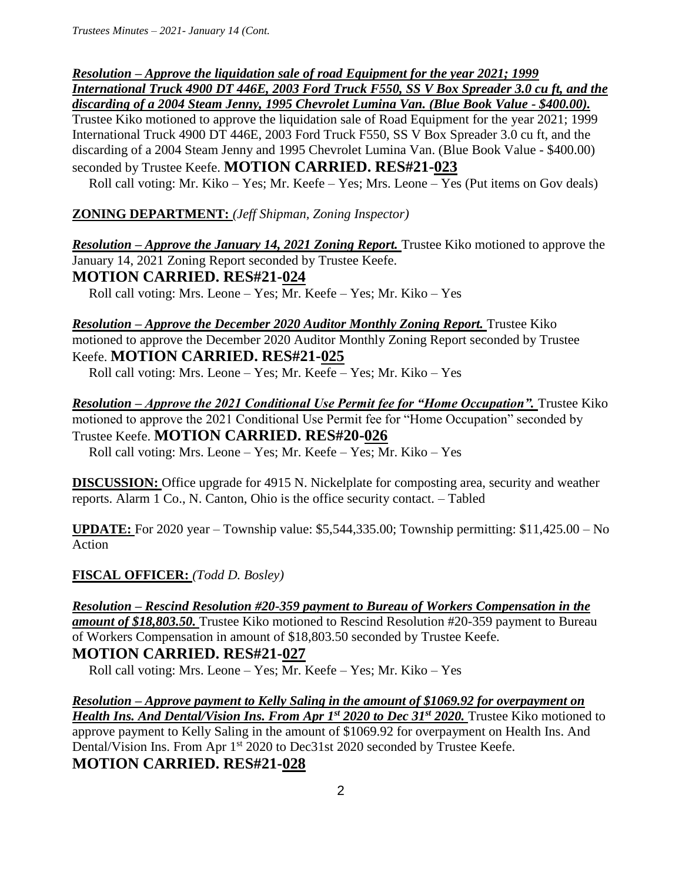*Resolution – Approve the liquidation sale of road Equipment for the year 2021; 1999 International Truck 4900 DT 446E, 2003 Ford Truck F550, SS V Box Spreader 3.0 cu ft, and the discarding of a 2004 Steam Jenny, 1995 Chevrolet Lumina Van. (Blue Book Value - \$400.00).*  Trustee Kiko motioned to approve the liquidation sale of Road Equipment for the year 2021; 1999 International Truck 4900 DT 446E, 2003 Ford Truck F550, SS V Box Spreader 3.0 cu ft, and the discarding of a 2004 Steam Jenny and 1995 Chevrolet Lumina Van. (Blue Book Value - \$400.00) seconded by Trustee Keefe. **MOTION CARRIED. RES#21-023** 

Roll call voting: Mr. Kiko – Yes; Mr. Keefe – Yes; Mrs. Leone – Yes (Put items on Gov deals)

**ZONING DEPARTMENT:** *(Jeff Shipman, Zoning Inspector)*

*Resolution – Approve the January 14, 2021 Zoning Report.* Trustee Kiko motioned to approve the January 14, 2021 Zoning Report seconded by Trustee Keefe.

**MOTION CARRIED. RES#21-024** 

Roll call voting: Mrs. Leone – Yes; Mr. Keefe – Yes; Mr. Kiko – Yes

*Resolution – Approve the December 2020 Auditor Monthly Zoning Report.* Trustee Kiko motioned to approve the December 2020 Auditor Monthly Zoning Report seconded by Trustee Keefe. **MOTION CARRIED. RES#21-025** 

Roll call voting: Mrs. Leone – Yes; Mr. Keefe – Yes; Mr. Kiko – Yes

*Resolution – Approve the 2021 Conditional Use Permit fee for "Home Occupation".* Trustee Kiko motioned to approve the 2021 Conditional Use Permit fee for "Home Occupation" seconded by Trustee Keefe. **MOTION CARRIED. RES#20-026**  Roll call voting: Mrs. Leone – Yes; Mr. Keefe – Yes; Mr. Kiko – Yes

**DISCUSSION:** Office upgrade for 4915 N. Nickelplate for composting area, security and weather reports. Alarm 1 Co., N. Canton, Ohio is the office security contact. – Tabled

**UPDATE:** For 2020 year – Township value: \$5,544,335.00; Township permitting: \$11,425.00 – No Action

**FISCAL OFFICER:** *(Todd D. Bosley)*

*Resolution – Rescind Resolution #20-359 payment to Bureau of Workers Compensation in the amount of \$18,803.50.* Trustee Kiko motioned to Rescind Resolution #20-359 payment to Bureau of Workers Compensation in amount of \$18,803.50 seconded by Trustee Keefe.

**MOTION CARRIED. RES#21-027** 

Roll call voting: Mrs. Leone – Yes; Mr. Keefe – Yes; Mr. Kiko – Yes

*Resolution – Approve payment to Kelly Saling in the amount of \$1069.92 for overpayment on Health Ins. And Dental/Vision Ins. From Apr 1st 2020 to Dec 31st 2020.* Trustee Kiko motioned to approve payment to Kelly Saling in the amount of \$1069.92 for overpayment on Health Ins. And Dental/Vision Ins. From Apr 1<sup>st</sup> 2020 to Dec31st 2020 seconded by Trustee Keefe. **MOTION CARRIED. RES#21-028**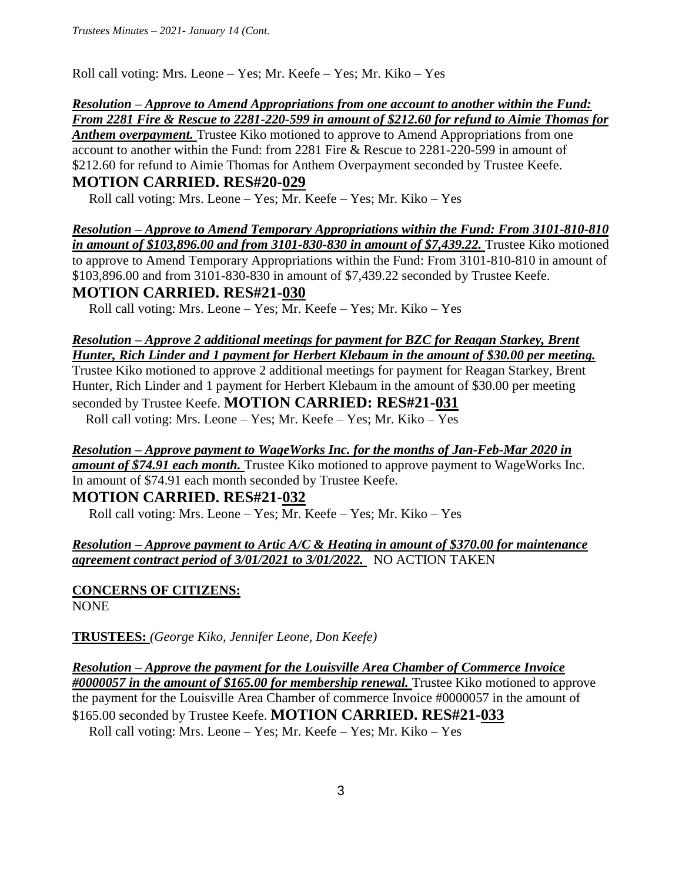Roll call voting: Mrs. Leone – Yes; Mr. Keefe – Yes; Mr. Kiko – Yes

#### *Resolution – Approve to Amend Appropriations from one account to another within the Fund: From 2281 Fire & Rescue to 2281-220-599 in amount of \$212.60 for refund to Aimie Thomas for*

*Anthem overpayment.* Trustee Kiko motioned to approve to Amend Appropriations from one account to another within the Fund: from 2281 Fire & Rescue to 2281-220-599 in amount of \$212.60 for refund to Aimie Thomas for Anthem Overpayment seconded by Trustee Keefe.

# **MOTION CARRIED. RES#20-029**

Roll call voting: Mrs. Leone – Yes; Mr. Keefe – Yes; Mr. Kiko – Yes

*Resolution – Approve to Amend Temporary Appropriations within the Fund: From 3101-810-810 in amount of \$103,896.00 and from 3101-830-830 in amount of \$7,439.22.* Trustee Kiko motioned to approve to Amend Temporary Appropriations within the Fund: From 3101-810-810 in amount of \$103,896.00 and from 3101-830-830 in amount of \$7,439.22 seconded by Trustee Keefe.

# **MOTION CARRIED. RES#21-030**

Roll call voting: Mrs. Leone – Yes; Mr. Keefe – Yes; Mr. Kiko – Yes

## *Resolution – Approve 2 additional meetings for payment for BZC for Reagan Starkey, Brent Hunter, Rich Linder and 1 payment for Herbert Klebaum in the amount of \$30.00 per meeting.*

Trustee Kiko motioned to approve 2 additional meetings for payment for Reagan Starkey, Brent Hunter, Rich Linder and 1 payment for Herbert Klebaum in the amount of \$30.00 per meeting seconded by Trustee Keefe. **MOTION CARRIED: RES#21-031** 

Roll call voting: Mrs. Leone – Yes; Mr. Keefe – Yes; Mr. Kiko – Yes

*Resolution – Approve payment to WageWorks Inc. for the months of Jan-Feb-Mar 2020 in amount of \$74.91 each month.* Trustee Kiko motioned to approve payment to WageWorks Inc. In amount of \$74.91 each month seconded by Trustee Keefe.

# **MOTION CARRIED. RES#21-032**

Roll call voting: Mrs. Leone – Yes; Mr. Keefe – Yes; Mr. Kiko – Yes

## *Resolution – Approve payment to Artic A/C & Heating in amount of \$370.00 for maintenance agreement contract period of 3/01/2021 to 3/01/2022.* NO ACTION TAKEN

**CONCERNS OF CITIZENS:**  NONE

**TRUSTEES:** *(George Kiko, Jennifer Leone, Don Keefe)*

*Resolution – Approve the payment for the Louisville Area Chamber of Commerce Invoice #0000057 in the amount of \$165.00 for membership renewal.* Trustee Kiko motioned to approve the payment for the Louisville Area Chamber of commerce Invoice #0000057 in the amount of \$165.00 seconded by Trustee Keefe. **MOTION CARRIED. RES#21-033**

Roll call voting: Mrs. Leone – Yes; Mr. Keefe – Yes; Mr. Kiko – Yes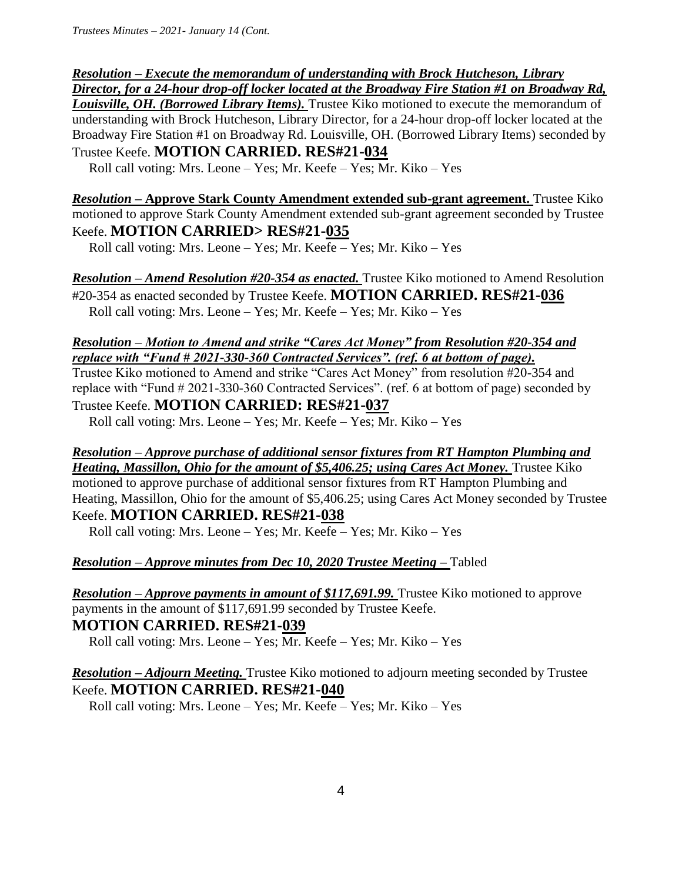## *Resolution – Execute the memorandum of understanding with Brock Hutcheson, Library Director, for a 24-hour drop-off locker located at the Broadway Fire Station #1 on Broadway Rd,*  **Louisville, OH. (Borrowed Library Items).** Trustee Kiko motioned to execute the memorandum of understanding with Brock Hutcheson, Library Director, for a 24-hour drop-off locker located at the Broadway Fire Station #1 on Broadway Rd. Louisville, OH. (Borrowed Library Items) seconded by Trustee Keefe. **MOTION CARRIED. RES#21-034**

Roll call voting: Mrs. Leone – Yes; Mr. Keefe – Yes; Mr. Kiko – Yes

*Resolution –* **Approve Stark County Amendment extended sub-grant agreement.** Trustee Kiko motioned to approve Stark County Amendment extended sub-grant agreement seconded by Trustee Keefe. **MOTION CARRIED> RES#21-035** 

Roll call voting: Mrs. Leone – Yes; Mr. Keefe – Yes; Mr. Kiko – Yes

*Resolution – Amend Resolution #20-354 as enacted.* Trustee Kiko motioned to Amend Resolution #20-354 as enacted seconded by Trustee Keefe. **MOTION CARRIED. RES#21-036**  Roll call voting: Mrs. Leone – Yes; Mr. Keefe – Yes; Mr. Kiko – Yes

#### *Resolution – Motion to Amend and strike "Cares Act Money" from Resolution #20-354 and replace with "Fund # 2021-330-360 Contracted Services". (ref. 6 at bottom of page).*

Trustee Kiko motioned to Amend and strike "Cares Act Money" from resolution #20-354 and replace with "Fund # 2021-330-360 Contracted Services". (ref. 6 at bottom of page) seconded by Trustee Keefe. **MOTION CARRIED: RES#21-037** 

Roll call voting: Mrs. Leone – Yes; Mr. Keefe – Yes; Mr. Kiko – Yes

# *Resolution – Approve purchase of additional sensor fixtures from RT Hampton Plumbing and Heating, Massillon, Ohio for the amount of \$5,406.25; using Cares Act Money. Trustee Kiko*

motioned to approve purchase of additional sensor fixtures from RT Hampton Plumbing and Heating, Massillon, Ohio for the amount of \$5,406.25; using Cares Act Money seconded by Trustee Keefe. **MOTION CARRIED. RES#21-038** 

Roll call voting: Mrs. Leone – Yes; Mr. Keefe – Yes; Mr. Kiko – Yes

# *Resolution – Approve minutes from Dec 10, 2020 Trustee Meeting –* Tabled

*Resolution – Approve payments in amount of \$117,691.99.* Trustee Kiko motioned to approve payments in the amount of \$117,691.99 seconded by Trustee Keefe.

# **MOTION CARRIED. RES#21-039**

Roll call voting: Mrs. Leone – Yes; Mr. Keefe – Yes; Mr. Kiko – Yes

*Resolution – Adjourn Meeting.* Trustee Kiko motioned to adjourn meeting seconded by Trustee Keefe. **MOTION CARRIED. RES#21-040** 

Roll call voting: Mrs. Leone – Yes; Mr. Keefe – Yes; Mr. Kiko – Yes